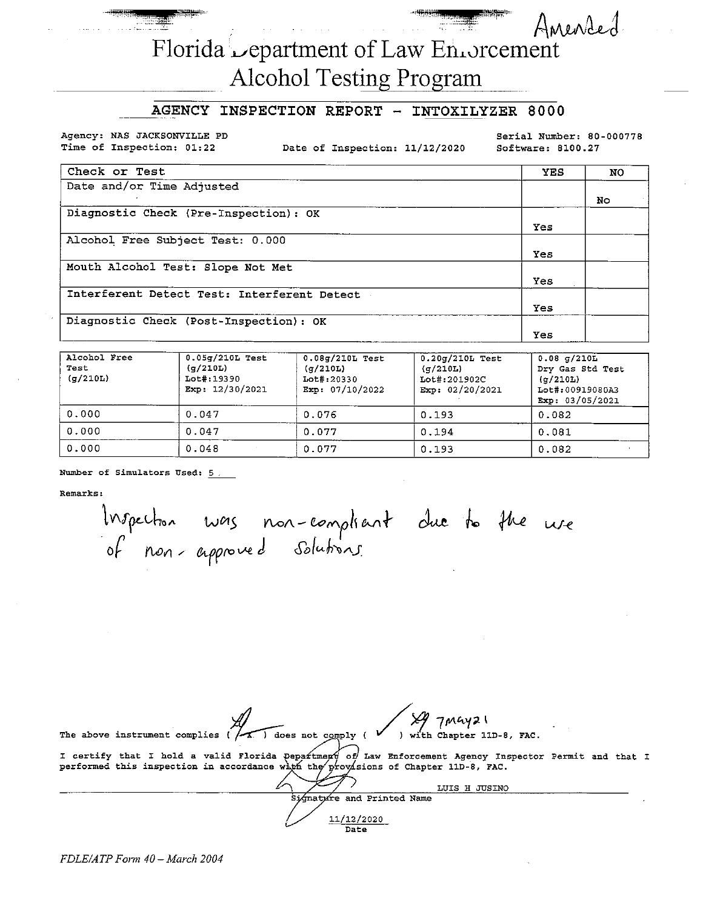# Florida Lepartment of Law Enforcement **Alcohol Testing Program**

### AGENCY INSPECTION REPORT - INTOXILYZER 8000

Agency: NAS JACKSONVILLE PD Time of Inspection: 01:22

Date of Inspection: 11/12/2020

Serial Number: 80-000778 Software: 8100.27

Anended

| Check or Test                               | <b>YES</b> | NO. |
|---------------------------------------------|------------|-----|
| Date and/or Time Adjusted                   |            |     |
|                                             |            | No  |
| Diagnostic Check (Pre-Inspection): OK       |            |     |
|                                             | Yes        |     |
| Alcohol Free Subject Test: 0.000            |            |     |
|                                             | Yes        |     |
| Mouth Alcohol Test: Slope Not Met           |            |     |
|                                             | Yes.       |     |
| Interferent Detect Test: Interferent Detect |            |     |
|                                             | Yes        |     |
| Diagnostic Check (Post-Inspection): OK      |            |     |
|                                             | Yes        |     |

| Alcohol Free<br>Test<br>(7/210L) | $0.05q/210L$ Test<br>(q/210L)<br>$Lot\$ :19390<br>Exp: 12/30/2021 | $0.08q/210L$ Test<br>(q/210L)<br>Lot#:20330<br>Exp: $07/10/2022$ | $0.20q/210L$ Test<br>(q/210L)<br>Lot#:201902C<br>Exp: $02/20/2021$ | $0.08 \sigma/210L$<br>Dry Gas Std Test<br>$(\sigma/210L)$<br>Lot#:00919080A3<br>Exp: 03/05/2021 |
|----------------------------------|-------------------------------------------------------------------|------------------------------------------------------------------|--------------------------------------------------------------------|-------------------------------------------------------------------------------------------------|
| 0.000                            | 0.047                                                             | 0.076                                                            | 0.193                                                              | 0.082                                                                                           |
| 0.000                            | 0.047                                                             | 0.077                                                            | 0.194                                                              | 0.081                                                                                           |
| 0.000                            | 0.048                                                             | 0.077                                                            | 0.193                                                              | 0.082                                                                                           |

Number of Simulators Used: 5.

Remarks:

Inspection was non-compliant due to the use<br>of non-approved solutions.

| $7$ May21                                                                                                                                                                                    |  |  |
|----------------------------------------------------------------------------------------------------------------------------------------------------------------------------------------------|--|--|
| ) with Chapter 11D-8, FAC.<br>$\overline{1}$ does not comply (<br>The above instrument complies (                                                                                            |  |  |
| I certify that I hold a valid Florida Department of Law Enforcement Agency Inspector Permit and that I<br>performed this inspection in accordance with the provisions of Chapter 11D-8, FAC. |  |  |
| LUIS H JUSINO                                                                                                                                                                                |  |  |
| Signative and Printed Name                                                                                                                                                                   |  |  |
| 11/12/2020<br>Date                                                                                                                                                                           |  |  |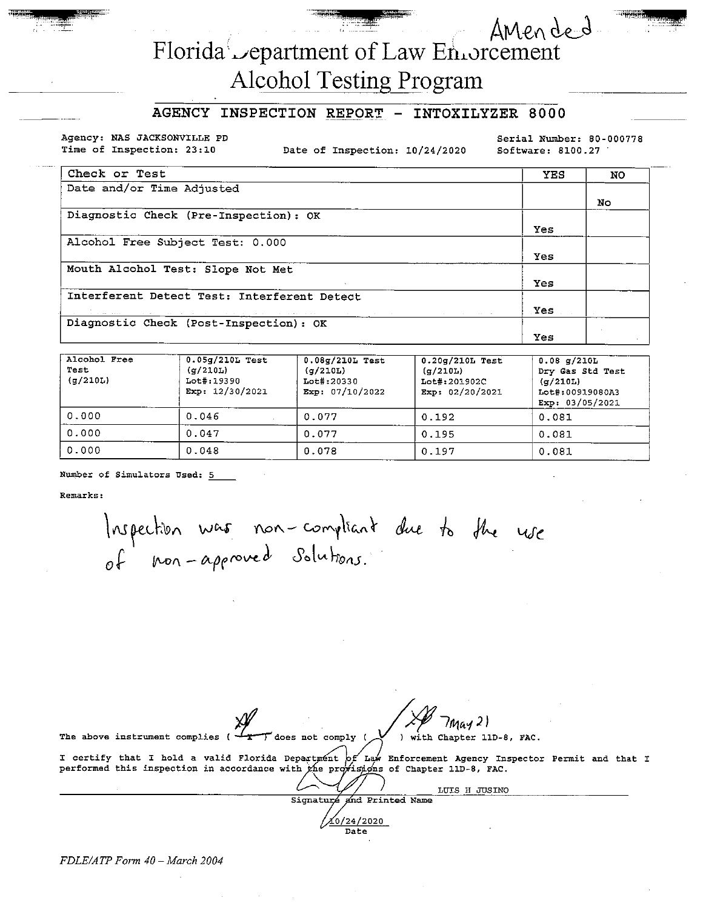# Florida Lepartment of Law Environment

## **Alcohol Testing Program**

#### AGENCY INSPECTION REPORT - INTOXILYZER 8000

Agency: NAS JACKSONVILLE PD Time of Inspection: 23:10

Date of Inspection: 10/24/2020

Serial Number: 80-000778 Software: 8100.27

Amended

| Check or Test                               | <b>YES</b> | <b>NO</b> |
|---------------------------------------------|------------|-----------|
| Date and/or Time Adjusted                   |            |           |
|                                             |            | Nо        |
| Diagnostic Check (Pre-Inspection): OK       |            |           |
|                                             | Yes        |           |
| Alcohol Free Subject Test: 0.000            |            |           |
|                                             | Yes        |           |
| Mouth Alcohol Test: Slope Not Met           |            |           |
|                                             | Yes        |           |
| Interferent Detect Test: Interferent Detect |            |           |
|                                             | Yes        |           |
| Diagnostic Check (Post-Inspection): OK      |            |           |
|                                             | Yes        |           |

| Alcohol Free<br>Test<br>(q/210L) | $0.05g/210L$ Test<br>(q/210L)<br>Lot#:19390<br>Exp: $12/30/2021$ | $0.08g/210L$ Test<br>(q/210L)<br>Lot#:20330<br>Exp: $07/10/2022$ | $0.20g/210L$ Test<br>(q/210L)<br>Lot#:201902C<br>Exp: $02/20/2021$ | $0.08$ q/210L<br>Dry Gas Std Test<br>(q/210L)<br>Lot#:00919080A3<br>Exp: $03/05/2021$ |
|----------------------------------|------------------------------------------------------------------|------------------------------------------------------------------|--------------------------------------------------------------------|---------------------------------------------------------------------------------------|
| 0.000                            | 0.046                                                            | 0.077                                                            | 0.192                                                              | 0.081                                                                                 |
| 0.000                            | 0.047                                                            | 0.077                                                            | 0.195                                                              | 0.081                                                                                 |
| 0.000                            | 0.048                                                            | 0.078                                                            | 0.197                                                              | 0.081                                                                                 |

Number of Simulators Used: 5

Remarks:

Inspection was non-compliant due to the use

/May 2) The above instrument complies does not comply ) with Chapter 11D-8, FAC. I certify that I hold a valid Florida Department  $f'$  Law Enforcement Agency Inspector Permit and that I performed this inspection in accordance with the provisions of Chapter 11D-8, FAC.

Signaturé and Printed Name 20/24/2020 Date

LUIS H JUSINO

FDLE/ATP Form 40 - March 2004